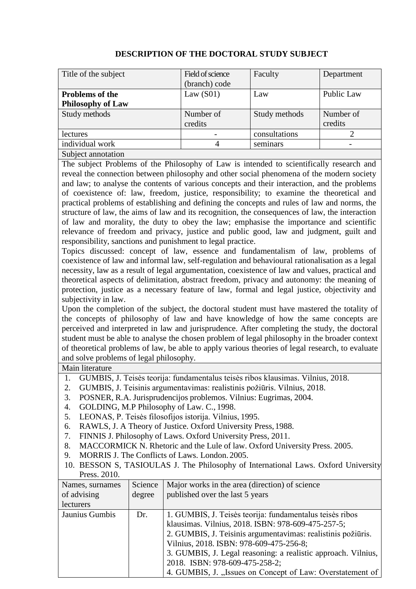| Title of the subject     | Field of science | Faculty       | Department |
|--------------------------|------------------|---------------|------------|
|                          | (branch) code    |               |            |
| <b>Problems of the</b>   | Law $(S01)$      | Law           | Public Law |
| <b>Philosophy of Law</b> |                  |               |            |
| Study methods            | Number of        | Study methods | Number of  |
|                          | credits          |               | credits    |
| lectures                 |                  | consultations |            |
| individual work          | 4                | seminars      |            |
| Subject annotation       |                  |               |            |

## **DESCRIPTION OF THE DOCTORAL STUDY SUBJECT**

The subject Problems of the Philosophy of Law is intended to scientifically research and reveal the connection between philosophy and other social phenomena of the modern society and law; to analyse the contents of various concepts and their interaction, and the problems of coexistence of: law, freedom, justice, responsibility; to examine the theoretical and practical problems of establishing and defining the concepts and rules of law and norms, the structure of law, the aims of law and its recognition, the consequences of law, the interaction of law and morality, the duty to obey the law; emphasise the importance and scientific relevance of freedom and privacy, justice and public good, law and judgment, guilt and responsibility, sanctions and punishment to legal practice.

Topics discussed: concept of law, essence and fundamentalism of law, problems of coexistence of law and informal law, self-regulation and behavioural rationalisation as a legal necessity, law as a result of legal argumentation, coexistence of law and values, practical and theoretical aspects of delimitation, abstract freedom, privacy and autonomy: the meaning of protection, justice as a necessary feature of law, formal and legal justice, objectivity and subjectivity in law.

Upon the completion of the subject, the doctoral student must have mastered the totality of the concepts of philosophy of law and have knowledge of how the same concepts are perceived and interpreted in law and jurisprudence. After completing the study, the doctoral student must be able to analyse the chosen problem of legal philosophy in the broader context of theoretical problems of law, be able to apply various theories of legal research, to evaluate and solve problems of legal philosophy.

Main literature

- 1. GUMBIS, J. Teisės teorija: fundamentalus teisės ribos klausimas. Vilnius, 2018.
- 2. GUMBIS, J. Teisinis argumentavimas: realistinis požiūris. Vilnius, 2018.
- 3. POSNER, R.A. Jurisprudencijos problemos. Vilnius: Eugrimas, 2004.
- 4. GOLDING, M.P Philosophy of Law. C., 1998.
- 5. LEONAS, P. Teisės filosofijos istorija. Vilnius, 1995.
- 6. RAWLS, J. A Theory of Justice. Oxford University Press, 1988.
- 7. FINNIS J. Philosophy of Laws. Oxford University Press, 2011.
- 8. MACCORMICK N. Rhetoric and the Lule of law. Oxford University Press. 2005.
- 9. MORRIS J. The Conflicts of Laws. London. 2005.
- 10. BESSON S, TASIOULAS J. The Philosophy of International Laws. Oxford University Press. 2010.

| Names, surnames | Science | Major works in the area (direction) of science                |
|-----------------|---------|---------------------------------------------------------------|
| of advising     | degree  | published over the last 5 years                               |
| lecturers       |         |                                                               |
| Jaunius Gumbis  | Dr.     | 1. GUMBIS, J. Teisės teorija: fundamentalus teisės ribos      |
|                 |         | klausimas. Vilnius, 2018. ISBN: 978-609-475-257-5;            |
|                 |         | 2. GUMBIS, J. Teisinis argumentavimas: realistinis požiūris.  |
|                 |         | Vilnius, 2018. ISBN: 978-609-475-256-8;                       |
|                 |         | 3. GUMBIS, J. Legal reasoning: a realistic approach. Vilnius, |
|                 |         | 2018. ISBN: 978-609-475-258-2;                                |
|                 |         | 4. GUMBIS, J., Issues on Concept of Law: Overstatement of     |